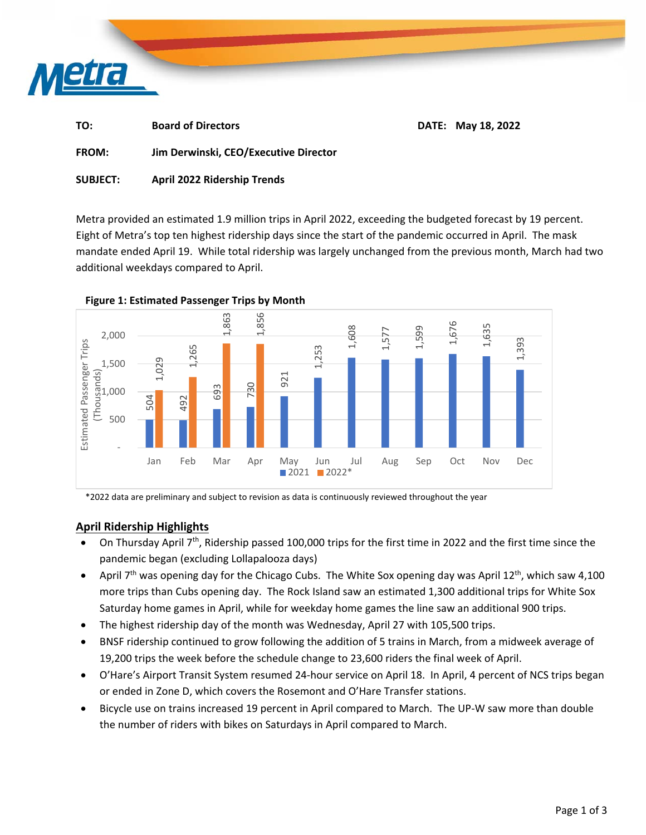

| TO:          | <b>Board of Directors</b>             | DATE: May 18, 2022 |
|--------------|---------------------------------------|--------------------|
| <b>FROM:</b> | Jim Derwinski, CEO/Executive Director |                    |

# **SUBJECT: April 2022 Ridership Trends**

Metra provided an estimated 1.9 million trips in April 2022, exceeding the budgeted forecast by 19 percent. Eight of Metra's top ten highest ridership days since the start of the pandemic occurred in April. The mask mandate ended April 19. While total ridership was largely unchanged from the previous month, March had two additional weekdays compared to April.



**Figure 1: Estimated Passenger Trips by Month** 

\*2022 data are preliminary and subject to revision as data is continuously reviewed throughout the year

#### **April Ridership Highlights**

- On Thursday April 7<sup>th</sup>, Ridership passed 100,000 trips for the first time in 2022 and the first time since the pandemic began (excluding Lollapalooza days)
- April 7<sup>th</sup> was opening day for the Chicago Cubs. The White Sox opening day was April 12<sup>th</sup>, which saw 4,100 more trips than Cubs opening day. The Rock Island saw an estimated 1,300 additional trips for White Sox Saturday home games in April, while for weekday home games the line saw an additional 900 trips.
- The highest ridership day of the month was Wednesday, April 27 with 105,500 trips.
- BNSF ridership continued to grow following the addition of 5 trains in March, from a midweek average of 19,200 trips the week before the schedule change to 23,600 riders the final week of April.
- O'Hare's Airport Transit System resumed 24‐hour service on April 18. In April, 4 percent of NCS trips began or ended in Zone D, which covers the Rosemont and O'Hare Transfer stations.
- Bicycle use on trains increased 19 percent in April compared to March. The UP‐W saw more than double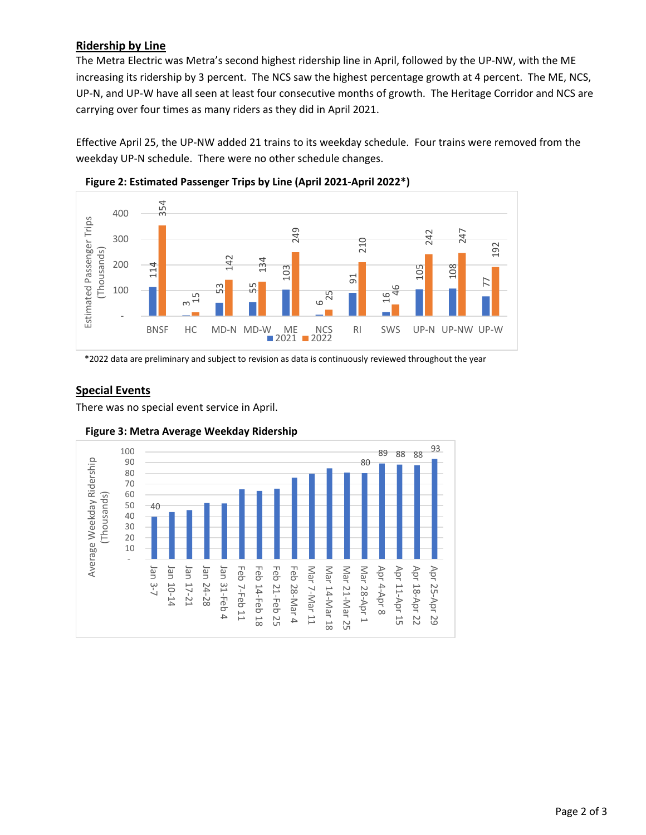## **Ridership by Line**

The Metra Electric was Metra's second highest ridership line in April, followed by the UP‐NW, with the ME increasing its ridership by 3 percent. The NCS saw the highest percentage growth at 4 percent. The ME, NCS, UP‐N, and UP‐W have all seen at least four consecutive months of growth. The Heritage Corridor and NCS are carrying over four times as many riders as they did in April 2021.

Effective April 25, the UP‐NW added 21 trains to its weekday schedule. Four trains were removed from the weekday UP‐N schedule. There were no other schedule changes.





\*2022 data are preliminary and subject to revision as data is continuously reviewed throughout the year

## **Special Events**

There was no special event service in April.



#### **Figure 3: Metra Average Weekday Ridership**